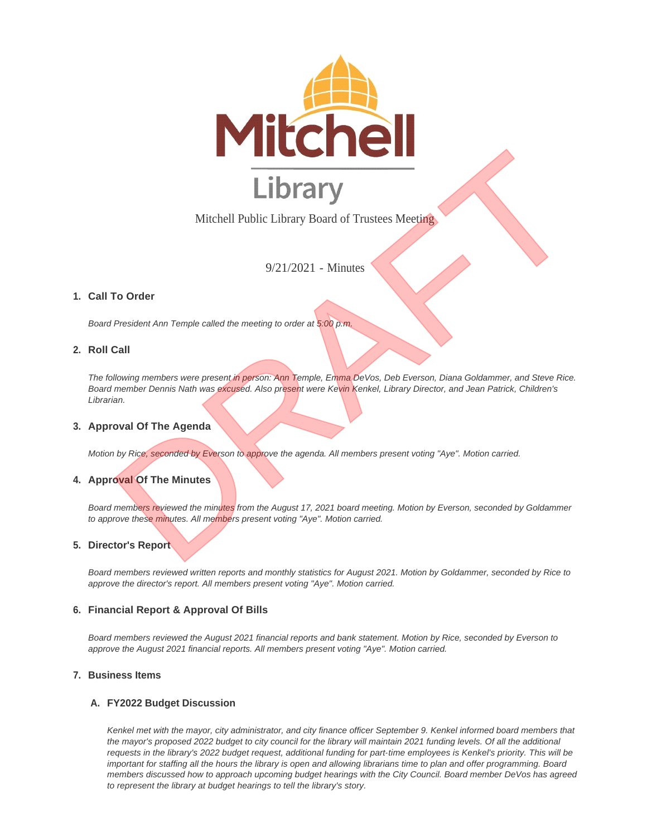

Mitchell Public Library Board of Trustees Meeting

9/21/2021 - Minutes

## **Call To Order 1.**

*Board President Ann Temple called the meeting to order at 5:00 p.m.*

### **Roll Call 2.**

*The following members were present in person: Ann Temple, Emma DeVos, Deb Everson, Diana Goldammer, and Steve Rice. Board member Dennis Nath was excused. Also present were Kevin Kenkel, Library Director, and Jean Patrick, Children's Librarian.* Michell Public Library Board of Trustees Meeting<br>
9/21/2021 - Minutes<br>
9/21/2021 - Minutes<br>
9/21/2021 - Minutes<br>
President Ann Temple called the meeting to order at 8:00 p.m.<br>
Call<br>
allowing mambars was present in person:

### **Approval Of The Agenda 3.**

*Motion by Rice, seconded by Everson to approve the agenda. All members present voting "Aye". Motion carried.*

# **4. Approval Of The Minutes**

Board members reviewed the minutes from the August 17, 2021 board meeting. Motion by Everson, seconded by Goldammer *to approve these minutes. All members present voting "Aye". Motion carried.*

#### **Director's Report 5.**

*Board members reviewed written reports and monthly statistics for August 2021. Motion by Goldammer, seconded by Rice to approve the director's report. All members present voting "Aye". Motion carried.*

#### **Financial Report & Approval Of Bills 6.**

*Board members reviewed the August 2021 financial reports and bank statement. Motion by Rice, seconded by Everson to approve the August 2021 financial reports. All members present voting "Aye". Motion carried.*

### **Business Items 7.**

#### **FY2022 Budget Discussion A.**

Kenkel met with the mayor, city administrator, and city finance officer September 9. Kenkel informed board members that the mayor's proposed 2022 budget to city council for the library will maintain 2021 funding levels. Of all the additional *requests in the library's 2022 budget request, additional funding for part-time employees is Kenkel's priority. This will be*  important for staffing all the hours the library is open and allowing librarians time to plan and offer programming. Board *members discussed how to approach upcoming budget hearings with the City Council. Board member DeVos has agreed to represent the library at budget hearings to tell the library's story.*